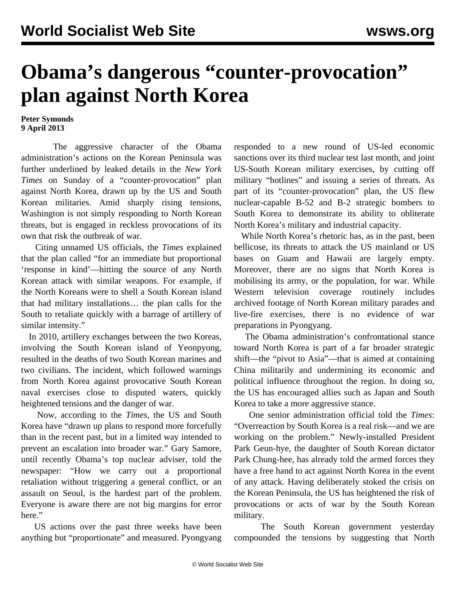## **Obama's dangerous "counter-provocation" plan against North Korea**

## **Peter Symonds 9 April 2013**

 The aggressive character of the Obama administration's actions on the Korean Peninsula was further underlined by leaked details in the *New York Times* on Sunday of a "counter-provocation" plan against North Korea, drawn up by the US and South Korean militaries. Amid sharply rising tensions, Washington is not simply responding to North Korean threats, but is engaged in reckless provocations of its own that risk the outbreak of war.

 Citing unnamed US officials, the *Times* explained that the plan called "for an immediate but proportional 'response in kind'—hitting the source of any North Korean attack with similar weapons. For example, if the North Koreans were to shell a South Korean island that had military installations… the plan calls for the South to retaliate quickly with a barrage of artillery of similar intensity."

 In 2010, artillery exchanges between the two Koreas, involving the South Korean island of Yeonpyong, resulted in the deaths of two South Korean marines and two civilians. The incident, which followed warnings from North Korea against provocative South Korean naval exercises close to disputed waters, quickly heightened tensions and the danger of war.

 Now, according to the *Times*, the US and South Korea have "drawn up plans to respond more forcefully than in the recent past, but in a limited way intended to prevent an escalation into broader war." Gary Samore, until recently Obama's top nuclear adviser, told the newspaper: "How we carry out a proportional retaliation without triggering a general conflict, or an assault on Seoul, is the hardest part of the problem. Everyone is aware there are not big margins for error here."

 US actions over the past three weeks have been anything but "proportionate" and measured. Pyongyang responded to a new round of US-led economic sanctions over its third nuclear test last month, and joint US-South Korean military exercises, by cutting off military "hotlines" and issuing a series of threats. As part of its "counter-provocation" plan, the US flew nuclear-capable B-52 and B-2 strategic bombers to South Korea to demonstrate its ability to obliterate North Korea's military and industrial capacity.

 While North Korea's rhetoric has, as in the past, been bellicose, its threats to attack the US mainland or US bases on Guam and Hawaii are largely empty. Moreover, there are no signs that North Korea is mobilising its army, or the population, for war. While Western television coverage routinely includes archived footage of North Korean military parades and live-fire exercises, there is no evidence of war preparations in Pyongyang.

 The Obama administration's confrontational stance toward North Korea is part of a far broader strategic shift—the "pivot to Asia"—that is aimed at containing China militarily and undermining its economic and political influence throughout the region. In doing so, the US has encouraged allies such as Japan and South Korea to take a more aggressive stance.

 One senior administration official told the *Times*: "Overreaction by South Korea is a real risk—and we are working on the problem." Newly-installed President Park Geun-hye, the daughter of South Korean dictator Park Chung-hee, has already told the armed forces they have a free hand to act against North Korea in the event of any attack. Having deliberately stoked the crisis on the Korean Peninsula, the US has heightened the risk of provocations or acts of war by the South Korean military.

 The South Korean government yesterday compounded the tensions by suggesting that North